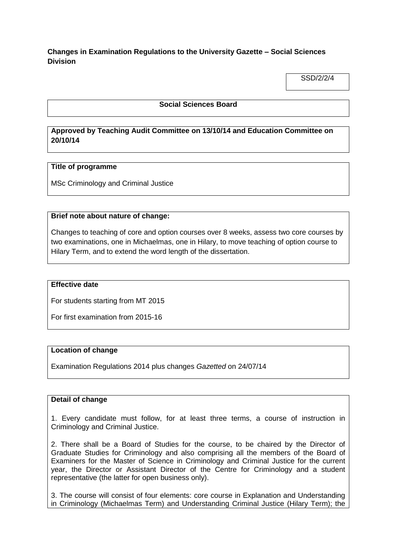**Changes in Examination Regulations to the University Gazette – Social Sciences Division**

SSD/2/2/4

### **Social Sciences Board**

# **Approved by Teaching Audit Committee on 13/10/14 and Education Committee on 20/10/14**

#### **Title of programme**

MSc Criminology and Criminal Justice

#### **Brief note about nature of change:**

Changes to teaching of core and option courses over 8 weeks, assess two core courses by two examinations, one in Michaelmas, one in Hilary, to move teaching of option course to Hilary Term, and to extend the word length of the dissertation.

#### **Effective date**

For students starting from MT 2015

For first examination from 2015-16

#### **Location of change**

Examination Regulations 2014 plus changes *Gazetted* on 24/07/14

## **Detail of change**

1. Every candidate must follow, for at least three terms, a course of instruction in Criminology and Criminal Justice.

2. There shall be a Board of Studies for the course, to be chaired by the Director of Graduate Studies for Criminology and also comprising all the members of the Board of Examiners for the Master of Science in Criminology and Criminal Justice for the current year, the Director or Assistant Director of the Centre for Criminology and a student representative (the latter for open business only).

3. The course will consist of four elements: core course in Explanation and Understanding in Criminology (Michaelmas Term) and Understanding Criminal Justice (Hilary Term); the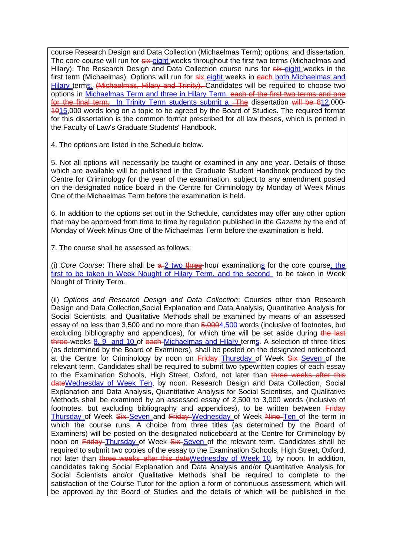course Research Design and Data Collection (Michaelmas Term); options; and dissertation. The core course will run for six eight weeks throughout the first two terms (Michaelmas and Hilary). The Research Design and Data Collection course runs for  $s$ ix eight weeks in the first term (Michaelmas). Options will run for  $s$ ix-eight weeks in each-both Michaelmas and Hilary terms. (Michaelmas, Hilary and Trinity). Candidates will be required to choose two options in Michaelmas Term and three in Hilary Term. each of the first two terms and one for the final term. In Trinity Term students submit a The dissertation will be 812,000-1015,000 words long on a topic to be agreed by the Board of Studies. The required format for this dissertation is the common format prescribed for all law theses, which is printed in the Faculty of Law's Graduate Students' Handbook.

4. The options are listed in the Schedule below.

5. Not all options will necessarily be taught or examined in any one year. Details of those which are available will be published in the Graduate Student Handbook produced by the Centre for Criminology for the year of the examination, subject to any amendment posted on the designated notice board in the Centre for Criminology by Monday of Week Minus One of the Michaelmas Term before the examination is held.

6. In addition to the options set out in the Schedule, candidates may offer any other option that may be approved from time to time by regulation published in the *Gazette* by the end of Monday of Week Minus One of the Michaelmas Term before the examination is held.

7. The course shall be assessed as follows:

(i) *Core Course*: There shall be  $a-2$  two three-hour examinations for the core course, the first to be taken in Week Nought of Hilary Term, and the second to be taken in Week Nought of Trinity Term.

(ii) *Options and Research Design and Data Collection*: Courses other than Research Design and Data Collection,Social Explanation and Data Analysis, Quantitative Analysis for Social Scientists, and Qualitative Methods shall be examined by means of an assessed essay of no less than 3,500 and no more than  $\frac{5,0004}{5,000}$  words (inclusive of footnotes, but excluding bibliography and appendices), for which time will be set aside during the last three weeks 8, 9 and 10 of each-Michaelmas and Hilary terms. A selection of three titles (as determined by the Board of Examiners), shall be posted on the designated noticeboard at the Centre for Criminology by noon on Friday-Thursday of Week Six-Seven of the relevant term. Candidates shall be required to submit two typewritten copies of each essay to the Examination Schools, High Street, Oxford, not later than three weeks after this dateWednesday of Week Ten, by noon. Research Design and Data Collection, Social Explanation and Data Analysis, Quantitative Analysis for Social Scientists, and Qualitative Methods shall be examined by an assessed essay of 2,500 to 3,000 words (inclusive of footnotes, but excluding bibliography and appendices), to be written between Friday Thursday of Week Six Seven and Friday Wednesday of Week Nine Ten of the term in which the course runs. A choice from three titles (as determined by the Board of Examiners) will be posted on the designated noticeboard at the Centre for Criminology by noon on Friday Thursday of Week Six Seven of the relevant term. Candidates shall be required to submit two copies of the essay to the Examination Schools, High Street, Oxford, not later than three weeks after this dateWednesday of Week 10, by noon. In addition, candidates taking Social Explanation and Data Analysis and/or Quantitative Analysis for Social Scientists and/or Qualitative Methods shall be required to complete to the satisfaction of the Course Tutor for the option a form of continuous assessment, which will be approved by the Board of Studies and the details of which will be published in the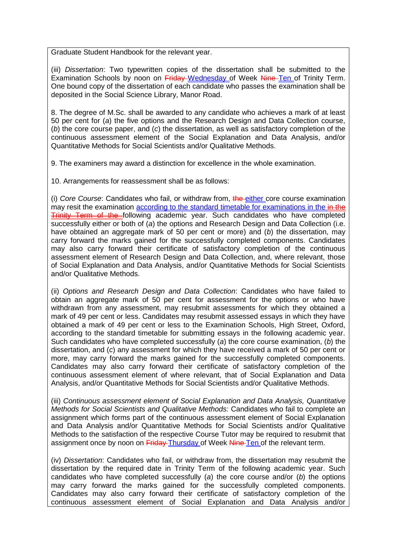Graduate Student Handbook for the relevant year.

(iii) *Dissertation*: Two typewritten copies of the dissertation shall be submitted to the Examination Schools by noon on Friday Wednesday of Week Nine Ten of Trinity Term. One bound copy of the dissertation of each candidate who passes the examination shall be deposited in the Social Science Library, Manor Road.

8. The degree of M.Sc. shall be awarded to any candidate who achieves a mark of at least 50 per cent for (*a*) the five options and the Research Design and Data Collection course, (*b*) the core course paper, and (*c*) the dissertation, as well as satisfactory completion of the continuous assessment element of the Social Explanation and Data Analysis, and/or Quantitative Methods for Social Scientists and/or Qualitative Methods.

9. The examiners may award a distinction for excellence in the whole examination.

10. Arrangements for reassessment shall be as follows:

(i) *Core Course*: Candidates who fail, or withdraw from, the either core course examination may resit the examination according to the standard timetable for examinations in the in the **Trinity Term of the following academic year. Such candidates who have completed** successfully either or both of (*a*) the options and Research Design and Data Collection (i.e. have obtained an aggregate mark of 50 per cent or more) and (*b*) the dissertation, may carry forward the marks gained for the successfully completed components. Candidates may also carry forward their certificate of satisfactory completion of the continuous assessment element of Research Design and Data Collection, and, where relevant, those of Social Explanation and Data Analysis, and/or Quantitative Methods for Social Scientists and/or Qualitative Methods.

(ii) *Options and Research Design and Data Collection*: Candidates who have failed to obtain an aggregate mark of 50 per cent for assessment for the options or who have withdrawn from any assessment, may resubmit assessments for which they obtained a mark of 49 per cent or less. Candidates may resubmit assessed essays in which they have obtained a mark of 49 per cent or less to the Examination Schools, High Street, Oxford, according to the standard timetable for submitting essays in the following academic year. Such candidates who have completed successfully (*a*) the core course examination, (*b*) the dissertation, and (*c*) any assessment for which they have received a mark of 50 per cent or more, may carry forward the marks gained for the successfully completed components. Candidates may also carry forward their certificate of satisfactory completion of the continuous assessment element of where relevant, that of Social Explanation and Data Analysis, and/or Quantitative Methods for Social Scientists and/or Qualitative Methods.

(iii) *Continuous assessment element of Social Explanation and Data Analysis, Quantitative Methods for Social Scientists and Qualitative Methods:* Candidates who fail to complete an assignment which forms part of the continuous assessment element of Social Explanation and Data Analysis and/or Quantitative Methods for Social Scientists and/or Qualitative Methods to the satisfaction of the respective Course Tutor may be required to resubmit that assignment once by noon on Friday Thursday of Week Nine Ten of the relevant term.

(iv) *Dissertation*: Candidates who fail, or withdraw from, the dissertation may resubmit the dissertation by the required date in Trinity Term of the following academic year. Such candidates who have completed successfully (*a*) the core course and/or (*b*) the options may carry forward the marks gained for the successfully completed components. Candidates may also carry forward their certificate of satisfactory completion of the continuous assessment element of Social Explanation and Data Analysis and/or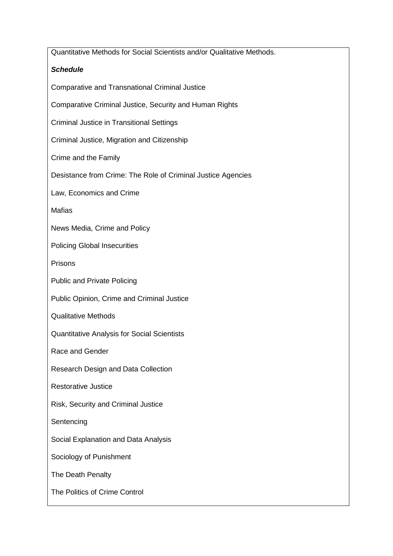| Quantitative Methods for Social Scientists and/or Qualitative Methods. |
|------------------------------------------------------------------------|
| <b>Schedule</b>                                                        |
| <b>Comparative and Transnational Criminal Justice</b>                  |
| Comparative Criminal Justice, Security and Human Rights                |
| <b>Criminal Justice in Transitional Settings</b>                       |
| Criminal Justice, Migration and Citizenship                            |
| Crime and the Family                                                   |
| Desistance from Crime: The Role of Criminal Justice Agencies           |
| Law, Economics and Crime                                               |
| <b>Mafias</b>                                                          |
| News Media, Crime and Policy                                           |
| <b>Policing Global Insecurities</b>                                    |
| Prisons                                                                |
| <b>Public and Private Policing</b>                                     |
| Public Opinion, Crime and Criminal Justice                             |
| <b>Qualitative Methods</b>                                             |
| <b>Quantitative Analysis for Social Scientists</b>                     |
| Race and Gender                                                        |
| Research Design and Data Collection                                    |
| <b>Restorative Justice</b>                                             |
| Risk, Security and Criminal Justice                                    |
| Sentencing                                                             |
| Social Explanation and Data Analysis                                   |
| Sociology of Punishment                                                |
| The Death Penalty                                                      |
| The Politics of Crime Control                                          |
|                                                                        |